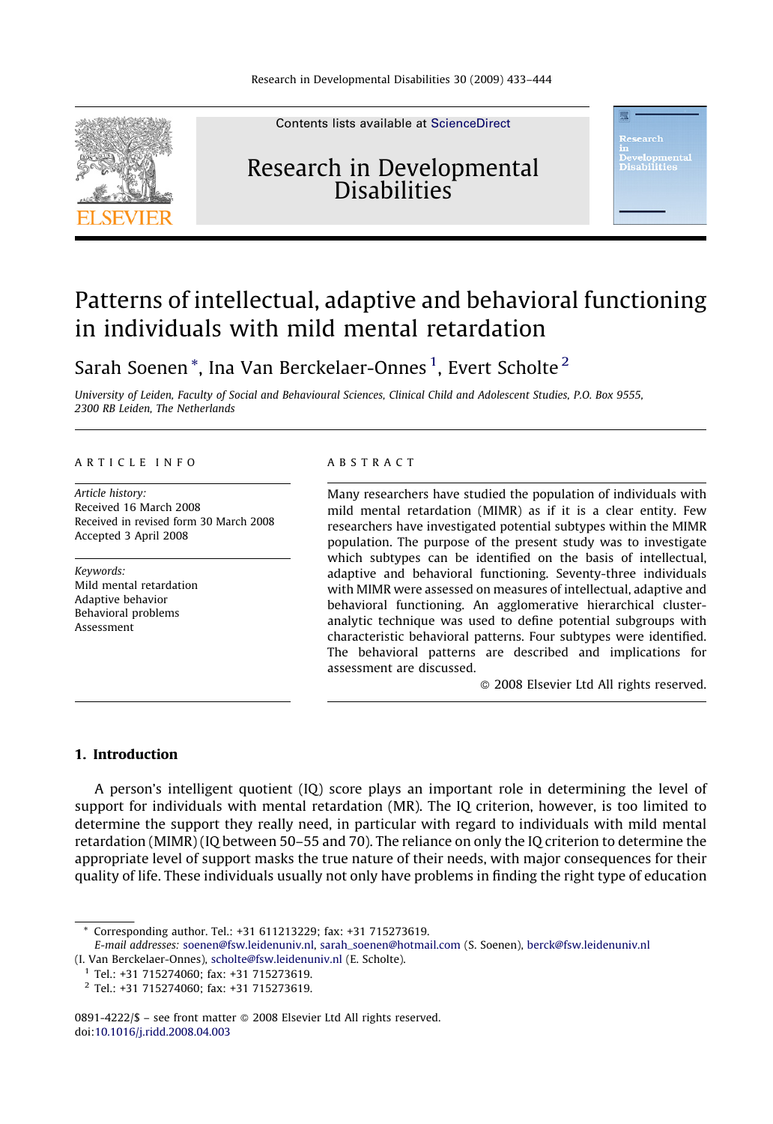

Contents lists available at [ScienceDirect](http://www.sciencedirect.com/science/journal/08914222)

# Research in Developmental **Disabilities**

# Patterns of intellectual, adaptive and behavioral functioning in individuals with mild mental retardation

Sarah Soenen\*, Ina Van Berckelaer-Onnes<sup>1</sup>, Evert Scholte<sup>2</sup>

University of Leiden, Faculty of Social and Behavioural Sciences, Clinical Child and Adolescent Studies, P.O. Box 9555, 2300 RB Leiden, The Netherlands

### ARTICLE INFO

Article history: Received 16 March 2008 Received in revised form 30 March 2008 Accepted 3 April 2008

Keywords: Mild mental retardation Adaptive behavior Behavioral problems Assessment

#### ABSTRACT

Many researchers have studied the population of individuals with mild mental retardation (MIMR) as if it is a clear entity. Few researchers have investigated potential subtypes within the MIMR population. The purpose of the present study was to investigate which subtypes can be identified on the basis of intellectual, adaptive and behavioral functioning. Seventy-three individuals with MIMR were assessed on measures of intellectual, adaptive and behavioral functioning. An agglomerative hierarchical clusteranalytic technique was used to define potential subgroups with characteristic behavioral patterns. Four subtypes were identified. The behavioral patterns are described and implications for assessment are discussed.

- 2008 Elsevier Ltd All rights reserved.

## 1. Introduction

A person's intelligent quotient (IQ) score plays an important role in determining the level of support for individuals with mental retardation (MR). The IQ criterion, however, is too limited to determine the support they really need, in particular with regard to individuals with mild mental retardation (MIMR) (IQ between 50–55 and 70). The reliance on only the IQ criterion to determine the appropriate level of support masks the true nature of their needs, with major consequences for their quality of life. These individuals usually not only have problems in finding the right type of education

0891-4222/\$ – see front matter © 2008 Elsevier Ltd All rights reserved. doi[:10.1016/j.ridd.2008.04.003](http://dx.doi.org/10.1016/j.ridd.2008.04.003)

<sup>\*</sup> Corresponding author. Tel.: +31 611213229; fax: +31 715273619.

E-mail addresses: [soenen@fsw.leidenuniv.nl](mailto:soenen@fsw.leidenuniv.nl), [sarah\\_soenen@hotmail.com](mailto:sarah_soenen@hotmail.com) (S. Soenen), [berck@fsw.leidenuniv.nl](mailto:berck@fsw.leidenuniv.nl) (I. Van Berckelaer-Onnes), [scholte@fsw.leidenuniv.nl](mailto:scholte@fsw.leidenuniv.nl) (E. Scholte).

 $1$  Tel.: +31 715274060; fax: +31 715273619.

<sup>2</sup> Tel.: +31 715274060; fax: +31 715273619.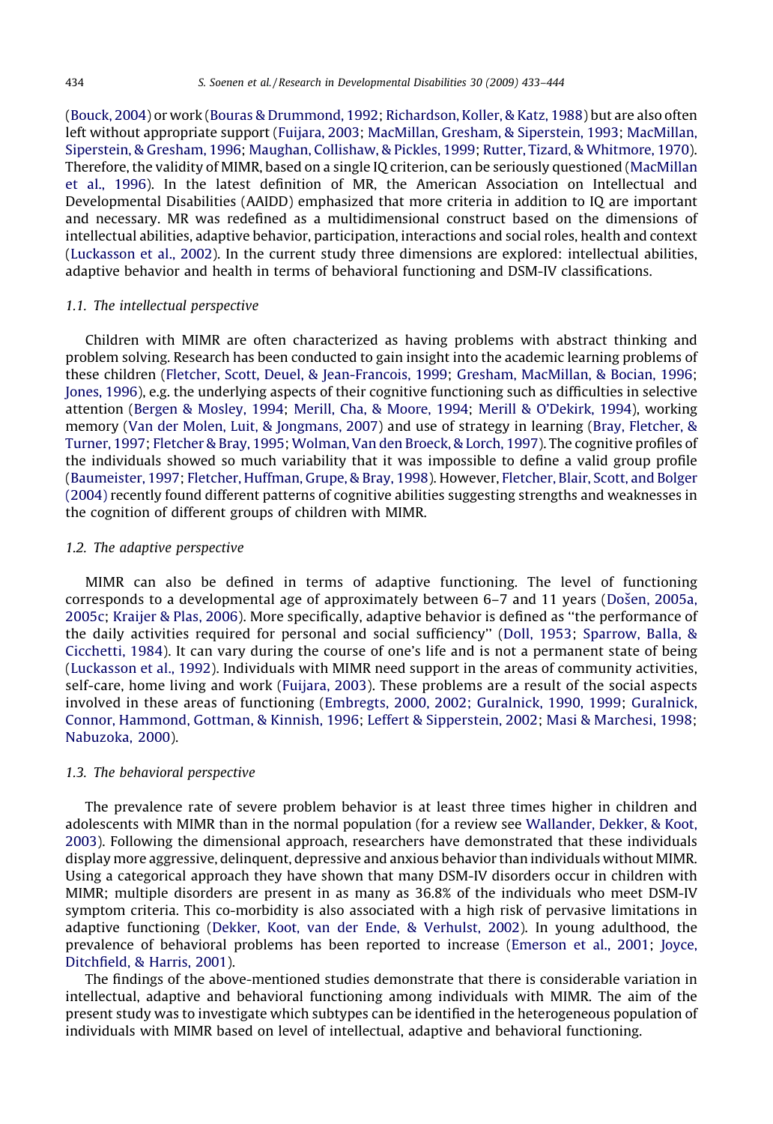([Bouck, 2004\)](#page--1-0) or work [\(Bouras & Drummond, 1992](#page--1-0); [Richardson, Koller, & Katz, 1988\)](#page--1-0) but are also often left without appropriate support [\(Fuijara, 2003;](#page--1-0) [MacMillan, Gresham, & Siperstein, 1993;](#page--1-0) [MacMillan,](#page--1-0) [Siperstein, & Gresham, 1996](#page--1-0); [Maughan, Collishaw, & Pickles, 1999;](#page--1-0) [Rutter, Tizard, & Whitmore, 1970](#page--1-0)). Therefore, the validity of MIMR, based on a single IQ criterion, can be seriously questioned ([MacMillan](#page--1-0) [et al., 1996\)](#page--1-0). In the latest definition of MR, the American Association on Intellectual and Developmental Disabilities (AAIDD) emphasized that more criteria in addition to IQ are important and necessary. MR was redefined as a multidimensional construct based on the dimensions of intellectual abilities, adaptive behavior, participation, interactions and social roles, health and context ([Luckasson et al., 2002\)](#page--1-0). In the current study three dimensions are explored: intellectual abilities, adaptive behavior and health in terms of behavioral functioning and DSM-IV classifications.

#### 1.1. The intellectual perspective

Children with MIMR are often characterized as having problems with abstract thinking and problem solving. Research has been conducted to gain insight into the academic learning problems of these children ([Fletcher, Scott, Deuel, & Jean-Francois, 1999;](#page--1-0) [Gresham, MacMillan, & Bocian, 1996](#page--1-0); [Jones, 1996](#page--1-0)), e.g. the underlying aspects of their cognitive functioning such as difficulties in selective attention [\(Bergen & Mosley, 1994;](#page--1-0) [Merill, Cha, & Moore, 1994;](#page--1-0) [Merill & O'Dekirk, 1994](#page--1-0)), working memory ([Van der Molen, Luit, & Jongmans, 2007\)](#page--1-0) and use of strategy in learning [\(Bray, Fletcher, &](#page--1-0) [Turner, 1997](#page--1-0); [Fletcher & Bray, 1995](#page--1-0); [Wolman, Van den Broeck, & Lorch, 1997\)](#page--1-0). The cognitive profiles of the individuals showed so much variability that it was impossible to define a valid group profile ([Baumeister, 1997;](#page--1-0) [Fletcher, Huffman, Grupe, & Bray, 1998](#page--1-0)). However, [Fletcher, Blair, Scott, and Bolger](#page--1-0) [\(2004\)](#page--1-0) recently found different patterns of cognitive abilities suggesting strengths and weaknesses in the cognition of different groups of children with MIMR.

#### 1.2. The adaptive perspective

MIMR can also be defined in terms of adaptive functioning. The level of functioning corresponds to a developmental age of approximately between 6–7 and 11 years (Došen, 2005a, [2005c](#page--1-0); [Kraijer & Plas, 2006](#page--1-0)). More specifically, adaptive behavior is defined as ''the performance of the daily activities required for personal and social sufficiency'' ([Doll, 1953](#page--1-0); [Sparrow, Balla, &](#page--1-0) [Cicchetti, 1984\)](#page--1-0). It can vary during the course of one's life and is not a permanent state of being ([Luckasson et al., 1992\)](#page--1-0). Individuals with MIMR need support in the areas of community activities, self-care, home living and work ([Fuijara, 2003](#page--1-0)). These problems are a result of the social aspects involved in these areas of functioning ([Embregts, 2000, 2002; Guralnick, 1990, 1999](#page--1-0); [Guralnick,](#page--1-0) [Connor, Hammond, Gottman, & Kinnish, 1996](#page--1-0); [Leffert & Sipperstein, 2002;](#page--1-0) [Masi & Marchesi, 1998](#page--1-0); [Nabuzoka, 2000](#page--1-0)).

## 1.3. The behavioral perspective

The prevalence rate of severe problem behavior is at least three times higher in children and adolescents with MIMR than in the normal population (for a review see [Wallander, Dekker, & Koot,](#page--1-0) [2003\)](#page--1-0). Following the dimensional approach, researchers have demonstrated that these individuals display more aggressive, delinquent, depressive and anxious behavior than individuals without MIMR. Using a categorical approach they have shown that many DSM-IV disorders occur in children with MIMR; multiple disorders are present in as many as 36.8% of the individuals who meet DSM-IV symptom criteria. This co-morbidity is also associated with a high risk of pervasive limitations in adaptive functioning ([Dekker, Koot, van der Ende, & Verhulst, 2002\)](#page--1-0). In young adulthood, the prevalence of behavioral problems has been reported to increase ([Emerson et al., 2001](#page--1-0); [Joyce,](#page--1-0) [Ditchfield, & Harris, 2001\)](#page--1-0).

The findings of the above-mentioned studies demonstrate that there is considerable variation in intellectual, adaptive and behavioral functioning among individuals with MIMR. The aim of the present study was to investigate which subtypes can be identified in the heterogeneous population of individuals with MIMR based on level of intellectual, adaptive and behavioral functioning.